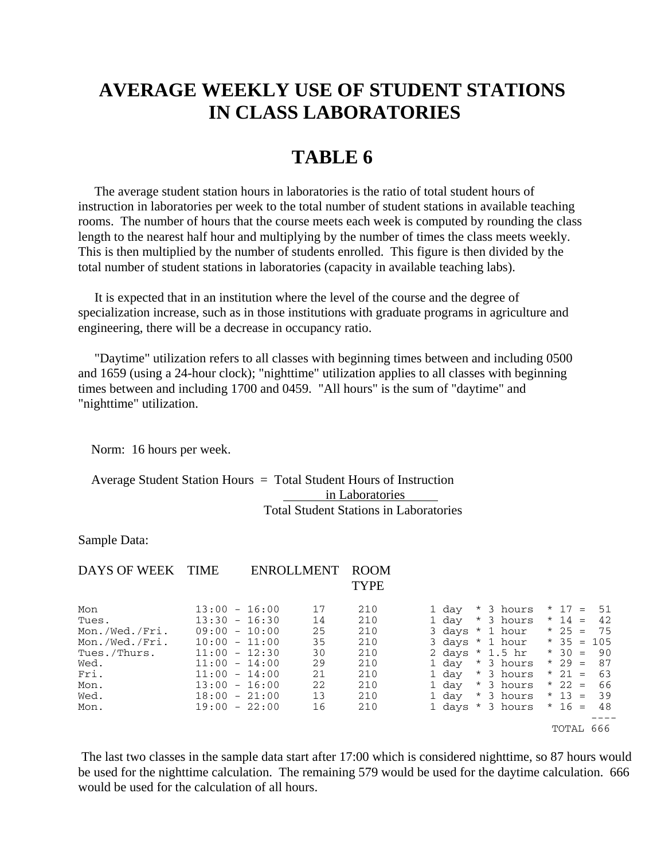## **AVERAGE WEEKLY USE OF STUDENT STATIONS IN CLASS LABORATORIES**

## **TABLE 6**

 The average student station hours in laboratories is the ratio of total student hours of instruction in laboratories per week to the total number of student stations in available teaching rooms. The number of hours that the course meets each week is computed by rounding the class length to the nearest half hour and multiplying by the number of times the class meets weekly. This is then multiplied by the number of students enrolled. This figure is then divided by the total number of student stations in laboratories (capacity in available teaching labs).

 It is expected that in an institution where the level of the course and the degree of specialization increase, such as in those institutions with graduate programs in agriculture and engineering, there will be a decrease in occupancy ratio.

 "Daytime" utilization refers to all classes with beginning times between and including 0500 and 1659 (using a 24-hour clock); "nighttime" utilization applies to all classes with beginning times between and including 1700 and 0459. "All hours" is the sum of "daytime" and "nighttime" utilization.

Norm: 16 hours per week.

 Average Student Station Hours = Total Student Hours of Instruction in Laboratories Total Student Stations in Laboratories

Sample Data:

| DAYS OF WEEK   | <b>TIME</b>     |          | ENROLL MENT | <b>ROOM</b><br><b>TYPE</b> |                 |  |                  |          |              |
|----------------|-----------------|----------|-------------|----------------------------|-----------------|--|------------------|----------|--------------|
| Mon            | $13:00 - 16:00$ |          | 17          | 210                        | 1 day           |  | * 3 hours        | * 17 =   | 51           |
| Tues.          | $13:30 - 16:30$ |          | 14          | 210                        | 1 day           |  | * 3 hours        | * 14 =   | 42           |
| Mon./Wed./Fri. | 09:00           | $-10:00$ | 25          | 210                        |                 |  | 3 davs * 1 hour  | * 25 =   | - 75         |
| Mon./Wed./Fri. | $10:00 - 11:00$ |          | 35          | 210                        | 3 days * 1 hour |  |                  |          | $*$ 35 = 105 |
| Tues./Thurs.   | $11:00 - 12:30$ |          | 30          | 210                        |                 |  | 2 days * 1.5 hr  | * 30 =   | - 90         |
| Wed.           | 11:00           | $-14:00$ | 29          | 210                        | 1 day           |  | * 3 hours        | * 29 =   | 87           |
| Fri.           | 11:00           | $-14:00$ | 21          | 210                        | 1 day           |  | * 3 hours        | * 21 =   | 63           |
| Mon.           | 13:00           | $-16:00$ | 22          | 210                        | 1 day           |  | * 3 hours        | * 22 =   | 66           |
| Wed.           | 18:00           | $-21:00$ | 13          | 210                        | 1 day           |  | * 3 hours        | * 13 =   | 39           |
| Mon.           | $19:00 - 22:00$ |          | 16          | 210                        |                 |  | 1 days * 3 hours | $* 16 =$ | 48           |
|                |                 |          |             |                            |                 |  |                  | TOTAL    | 666          |

 The last two classes in the sample data start after 17:00 which is considered nighttime, so 87 hours would be used for the nighttime calculation. The remaining 579 would be used for the daytime calculation. 666 would be used for the calculation of all hours.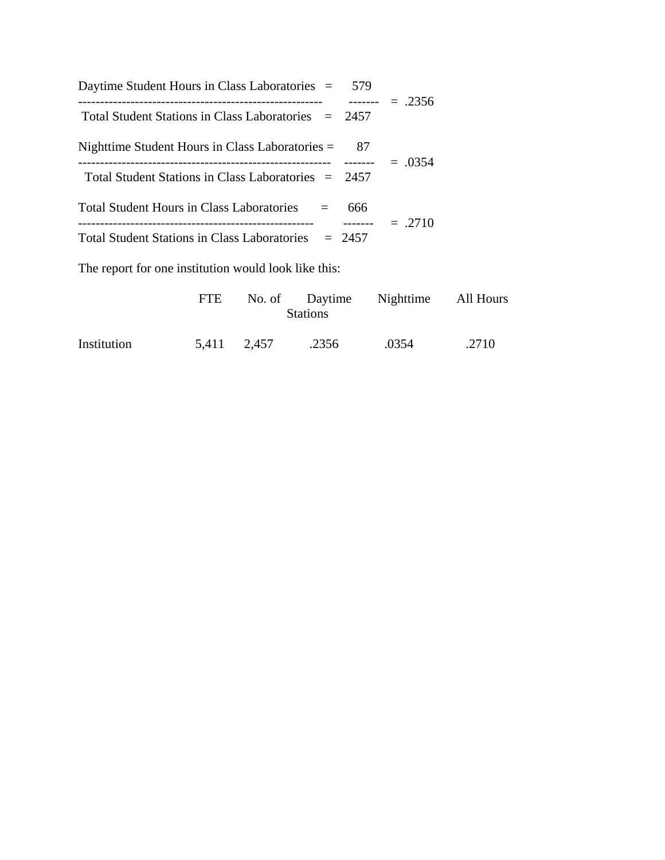| Daytime Student Hours in Class Laboratories = 579     |          |          |
|-------------------------------------------------------|----------|----------|
| Total Student Stations in Class Laboratories $= 2457$ | -------- | $=.2356$ |
| Nighttime Student Hours in Class Laboratories $=$     | 87       | $=.0354$ |
| Total Student Stations in Class Laboratories $= 2457$ |          |          |
| Total Student Hours in Class Laboratories<br>$=$      | 666      | $=.2710$ |
| Total Student Stations in Class Laboratories $= 2457$ |          |          |

The report for one institution would look like this:

|             | FTE. |             | <b>Stations</b> | No. of Daytime Nighttime All Hours |       |
|-------------|------|-------------|-----------------|------------------------------------|-------|
| Institution |      | 5,411 2,457 | .2356           | .0354                              | .2710 |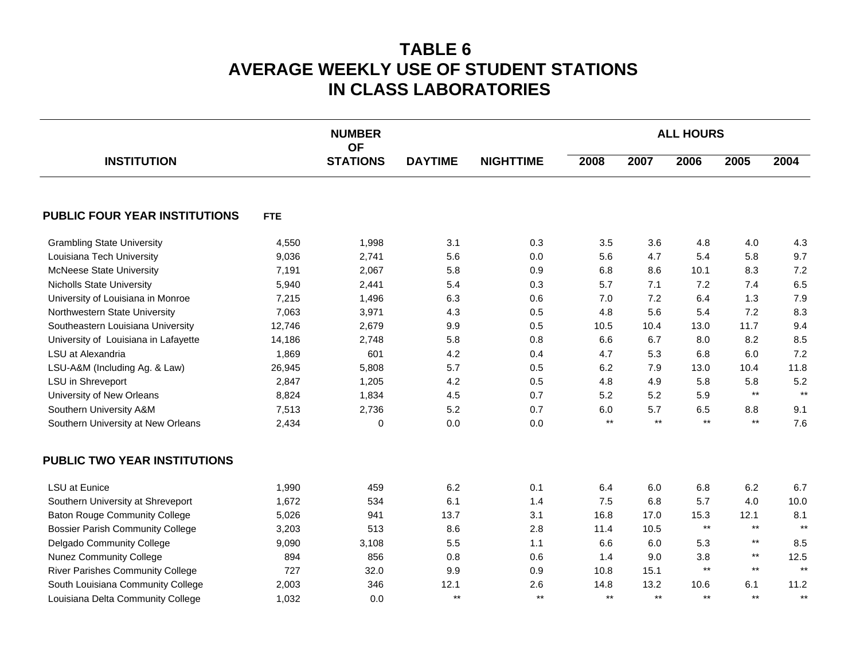## **TABLE 6 AVERAGE WEEKLY USE OF STUDENT STATIONS IN CLASS LABORATORIES**

|                                         |            | <b>NUMBER</b><br><b>OF</b> |                |                  | <b>ALL HOURS</b> |                 |                 |                 |       |  |
|-----------------------------------------|------------|----------------------------|----------------|------------------|------------------|-----------------|-----------------|-----------------|-------|--|
| <b>INSTITUTION</b>                      |            | <b>STATIONS</b>            | <b>DAYTIME</b> | <b>NIGHTTIME</b> | 2008             | 2007            | 2006            | 2005            | 2004  |  |
| PUBLIC FOUR YEAR INSTITUTIONS           | <b>FTE</b> |                            |                |                  |                  |                 |                 |                 |       |  |
| <b>Grambling State University</b>       | 4,550      | 1,998                      | 3.1            | 0.3              | 3.5              | 3.6             | 4.8             | 4.0             | 4.3   |  |
| Louisiana Tech University               | 9,036      | 2,741                      | 5.6            | 0.0              | 5.6              | 4.7             | 5.4             | 5.8             | 9.7   |  |
| <b>McNeese State University</b>         | 7,191      | 2,067                      | 5.8            | 0.9              | 6.8              | 8.6             | 10.1            | 8.3             | 7.2   |  |
| <b>Nicholls State University</b>        | 5,940      | 2,441                      | 5.4            | 0.3              | 5.7              | 7.1             | 7.2             | 7.4             | 6.5   |  |
| University of Louisiana in Monroe       | 7,215      | 1,496                      | 6.3            | 0.6              | 7.0              | 7.2             | 6.4             | 1.3             | 7.9   |  |
| Northwestern State University           | 7,063      | 3,971                      | 4.3            | 0.5              | 4.8              | 5.6             | 5.4             | 7.2             | 8.3   |  |
| Southeastern Louisiana University       | 12,746     | 2,679                      | 9.9            | 0.5              | 10.5             | 10.4            | 13.0            | 11.7            | 9.4   |  |
| University of Louisiana in Lafayette    | 14,186     | 2,748                      | 5.8            | 0.8              | 6.6              | 6.7             | 8.0             | 8.2             | 8.5   |  |
| LSU at Alexandria                       | 1,869      | 601                        | 4.2            | 0.4              | 4.7              | 5.3             | 6.8             | 6.0             | 7.2   |  |
| LSU-A&M (Including Ag. & Law)           | 26,945     | 5,808                      | 5.7            | 0.5              | 6.2              | 7.9             | 13.0            | 10.4            | 11.8  |  |
| LSU in Shreveport                       | 2,847      | 1,205                      | 4.2            | 0.5              | 4.8              | 4.9             | 5.8             | 5.8             | 5.2   |  |
| University of New Orleans               | 8,824      | 1,834                      | 4.5            | 0.7              | 5.2              | 5.2             | 5.9             | $\star\star$    | $***$ |  |
| Southern University A&M                 | 7,513      | 2,736                      | 5.2            | 0.7              | 6.0              | 5.7             | 6.5             | 8.8             | 9.1   |  |
| Southern University at New Orleans      | 2,434      | 0                          | $0.0\,$        | $0.0\,$          | $^{\star\star}$  | $^{\star\star}$ | $^{\star\star}$ | $^{\star\star}$ | 7.6   |  |
| <b>PUBLIC TWO YEAR INSTITUTIONS</b>     |            |                            |                |                  |                  |                 |                 |                 |       |  |
| <b>LSU</b> at Eunice                    | 1,990      | 459                        | 6.2            | 0.1              | 6.4              | 6.0             | 6.8             | 6.2             | 6.7   |  |
| Southern University at Shreveport       | 1,672      | 534                        | 6.1            | 1.4              | 7.5              | 6.8             | 5.7             | 4.0             | 10.0  |  |
| <b>Baton Rouge Community College</b>    | 5,026      | 941                        | 13.7           | 3.1              | 16.8             | 17.0            | 15.3            | 12.1            | 8.1   |  |
| <b>Bossier Parish Community College</b> | 3,203      | 513                        | 8.6            | 2.8              | 11.4             | 10.5            | $\star\star$    | $^{\star\star}$ | $***$ |  |
| Delgado Community College               | 9,090      | 3,108                      | 5.5            | 1.1              | 6.6              | 6.0             | 5.3             | $\star\star$    | 8.5   |  |
| <b>Nunez Community College</b>          | 894        | 856                        | 0.8            | 0.6              | 1.4              | 9.0             | 3.8             | $^{\star\star}$ | 12.5  |  |
| <b>River Parishes Community College</b> | 727        | 32.0                       | 9.9            | 0.9              | 10.8             | 15.1            | $^{\star\star}$ | $\star\star$    | $***$ |  |
| South Louisiana Community College       | 2,003      | 346                        | 12.1           | 2.6              | 14.8             | 13.2            | 10.6            | 6.1             | 11.2  |  |
| Louisiana Delta Community College       | 1,032      | 0.0                        | $***$          | $\star\star$     | $^{\star\star}$  | $***$           | $***$           | $\star\star$    | $***$ |  |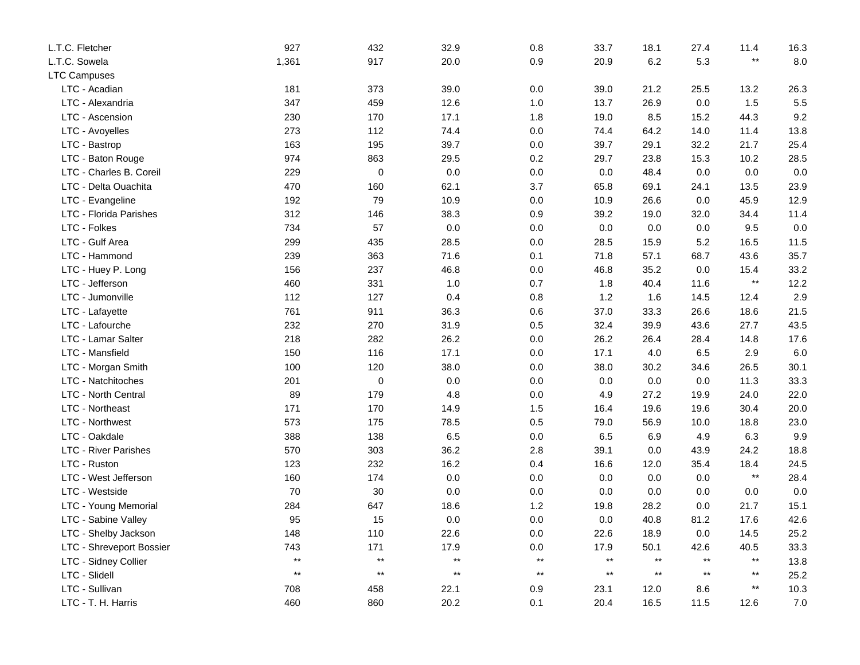| L.T.C. Fletcher             | 927          | 432          | 32.9            | 0.8             | 33.7         | 18.1            | 27.4         | 11.4            | 16.3    |
|-----------------------------|--------------|--------------|-----------------|-----------------|--------------|-----------------|--------------|-----------------|---------|
| L.T.C. Sowela               | 1,361        | 917          | 20.0            | 0.9             | 20.9         | 6.2             | 5.3          | $***$           | 8.0     |
| <b>LTC Campuses</b>         |              |              |                 |                 |              |                 |              |                 |         |
| LTC - Acadian               | 181          | 373          | 39.0            | 0.0             | 39.0         | 21.2            | 25.5         | 13.2            | 26.3    |
| LTC - Alexandria            | 347          | 459          | 12.6            | $1.0$           | 13.7         | 26.9            | 0.0          | 1.5             | 5.5     |
| LTC - Ascension             | 230          | 170          | 17.1            | 1.8             | 19.0         | 8.5             | 15.2         | 44.3            | 9.2     |
| LTC - Avoyelles             | 273          | 112          | 74.4            | $0.0\,$         | 74.4         | 64.2            | 14.0         | 11.4            | 13.8    |
| LTC - Bastrop               | 163          | 195          | 39.7            | 0.0             | 39.7         | 29.1            | 32.2         | 21.7            | 25.4    |
| LTC - Baton Rouge           | 974          | 863          | 29.5            | $0.2\,$         | 29.7         | 23.8            | 15.3         | 10.2            | 28.5    |
| LTC - Charles B. Coreil     | 229          | $\mathbf 0$  | 0.0             | 0.0             | 0.0          | 48.4            | 0.0          | 0.0             | 0.0     |
| LTC - Delta Ouachita        | 470          | 160          | 62.1            | 3.7             | 65.8         | 69.1            | 24.1         | 13.5            | 23.9    |
| LTC - Evangeline            | 192          | 79           | 10.9            | 0.0             | 10.9         | 26.6            | 0.0          | 45.9            | 12.9    |
| LTC - Florida Parishes      | 312          | 146          | 38.3            | 0.9             | 39.2         | 19.0            | 32.0         | 34.4            | 11.4    |
| LTC - Folkes                | 734          | 57           | $0.0\,$         | 0.0             | 0.0          | 0.0             | 0.0          | 9.5             | 0.0     |
| LTC - Gulf Area             | 299          | 435          | 28.5            | 0.0             | 28.5         | 15.9            | 5.2          | 16.5            | 11.5    |
| LTC - Hammond               | 239          | 363          | 71.6            | 0.1             | 71.8         | 57.1            | 68.7         | 43.6            | 35.7    |
| LTC - Huey P. Long          | 156          | 237          | 46.8            | 0.0             | 46.8         | 35.2            | 0.0          | 15.4            | 33.2    |
| LTC - Jefferson             | 460          | 331          | 1.0             | 0.7             | 1.8          | 40.4            | 11.6         | $\star\star$    | 12.2    |
| LTC - Jumonville            | 112          | 127          | 0.4             | 0.8             | 1.2          | 1.6             | 14.5         | 12.4            | 2.9     |
| LTC - Lafayette             | 761          | 911          | 36.3            | 0.6             | 37.0         | 33.3            | 26.6         | 18.6            | 21.5    |
| LTC - Lafourche             | 232          | 270          | 31.9            | 0.5             | 32.4         | 39.9            | 43.6         | 27.7            | 43.5    |
| LTC - Lamar Salter          | 218          | 282          | 26.2            | $0.0\,$         | 26.2         | 26.4            | 28.4         | 14.8            | 17.6    |
| LTC - Mansfield             | 150          | 116          | 17.1            | 0.0             | 17.1         | 4.0             | 6.5          | 2.9             | 6.0     |
| LTC - Morgan Smith          | 100          | 120          | 38.0            | 0.0             | 38.0         | 30.2            | 34.6         | 26.5            | 30.1    |
| LTC - Natchitoches          | 201          | $\mathbf 0$  | $0.0\,$         | 0.0             | 0.0          | 0.0             | 0.0          | 11.3            | 33.3    |
| <b>LTC - North Central</b>  | 89           | 179          | 4.8             | $0.0\,$         | 4.9          | 27.2            | 19.9         | 24.0            | 22.0    |
| LTC - Northeast             | 171          | 170          | 14.9            | 1.5             | 16.4         | 19.6            | 19.6         | 30.4            | 20.0    |
| LTC - Northwest             | 573          | 175          | 78.5            | 0.5             | 79.0         | 56.9            | 10.0         | 18.8            | 23.0    |
| LTC - Oakdale               | 388          | 138          | 6.5             | 0.0             | 6.5          | 6.9             | 4.9          | 6.3             | 9.9     |
| <b>LTC - River Parishes</b> | 570          | 303          | 36.2            | 2.8             | 39.1         | 0.0             | 43.9         | 24.2            | 18.8    |
| LTC - Ruston                | 123          | 232          | 16.2            | 0.4             | 16.6         | 12.0            | 35.4         | 18.4            | 24.5    |
| LTC - West Jefferson        | 160          | 174          | 0.0             | 0.0             | 0.0          | 0.0             | 0.0          | $^{\star\star}$ | 28.4    |
| LTC - Westside              | 70           | 30           | 0.0             | 0.0             | 0.0          | 0.0             | 0.0          | 0.0             | 0.0     |
| LTC - Young Memorial        | 284          | 647          | 18.6            | 1.2             | 19.8         | 28.2            | 0.0          | 21.7            | 15.1    |
| LTC - Sabine Valley         | 95           | 15           | 0.0             | 0.0             | 0.0          | 40.8            | 81.2         | 17.6            | 42.6    |
| LTC - Shelby Jackson        | 148          | 110          | 22.6            | 0.0             | 22.6         | 18.9            | 0.0          | 14.5            | 25.2    |
| LTC - Shreveport Bossier    | 743          | 171          | 17.9            | $0.0\,$         | 17.9         | 50.1            | 42.6         | 40.5            | 33.3    |
| LTC - Sidney Collier        | $\star\star$ | $\star\star$ | $^{\star\star}$ | $^{\star\star}$ | $\star\star$ | $^{\star\star}$ | $\star\star$ | $\star\star$    | 13.8    |
| LTC - Slidell               | $\star\star$ | $\star\star$ | $^{\star\star}$ | $\star\star$    | $\star\star$ | $\star\star$    | $\star\star$ | $\star\star$    | 25.2    |
| LTC - Sullivan              | 708          | 458          | 22.1            | 0.9             | 23.1         | 12.0            | 8.6          | $^{\star\star}$ | 10.3    |
| LTC - T. H. Harris          | 460          | 860          | 20.2            | 0.1             | 20.4         | 16.5            | 11.5         | 12.6            | $7.0\,$ |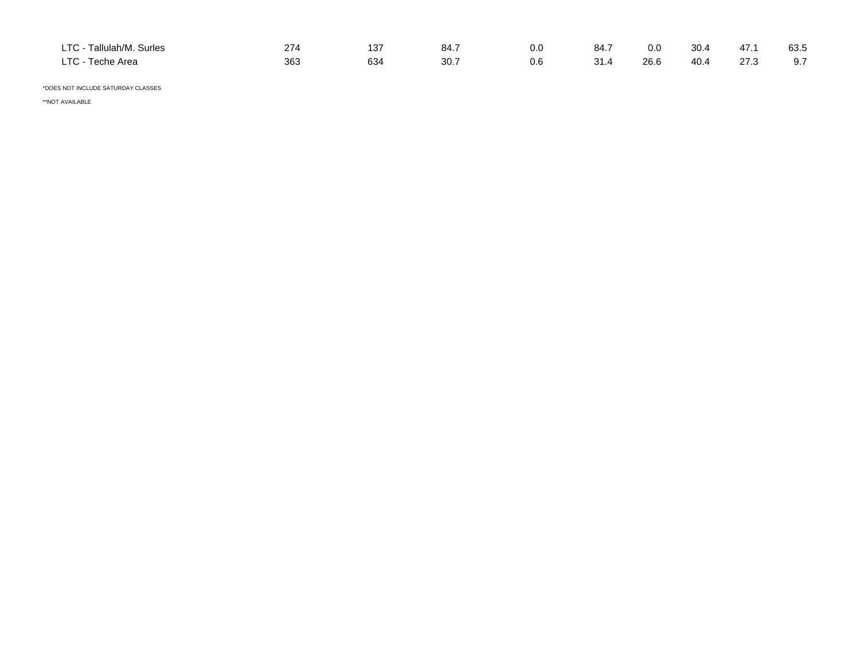| Tallulah/M. Surles<br>$T^{\sim}$<br>$-107$ | $\sim$ | ־פו<br>ں ا<br>$\sim$ | 84.7 | 0.0 | 84.7<br>$\sim$ $\sim$ | 0.0  | 30.4 | 47.1 | 63.5 |
|--------------------------------------------|--------|----------------------|------|-----|-----------------------|------|------|------|------|
| $T^{\wedge}$<br>Teche Area<br>- 15         | 363    | 634                  | 30.7 | 0.6 | 31<br>הו ט            | 26.6 | 40.4 | 27.3 | .    |

\*DOES NOT INCLUDE SATURDAY CLASSES

\*\*NOT AVAILABLE